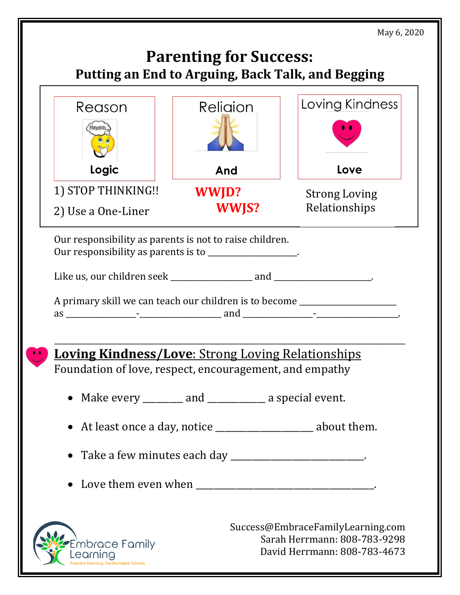May 6, 2020

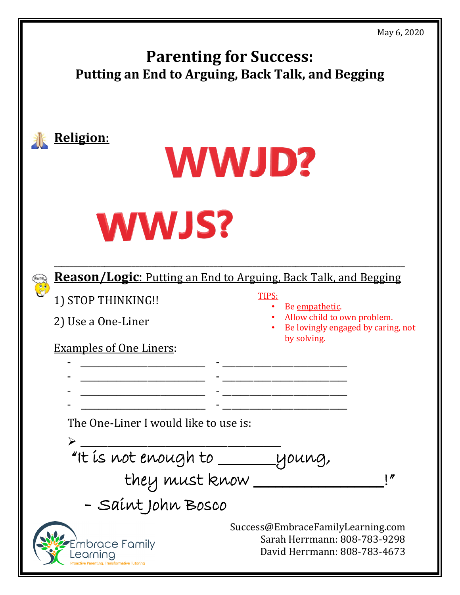| 11ay 0, 2020<br><b>Parenting for Success:</b><br>Putting an End to Arguing, Back Talk, and Begging |                                                                                                                    |
|----------------------------------------------------------------------------------------------------|--------------------------------------------------------------------------------------------------------------------|
| <u> Religion:</u>                                                                                  | <b>WWJD?</b>                                                                                                       |
| <b>WWJS?</b>                                                                                       | <b>Reason/Logic:</b> Putting an End to Arguing, Back Talk, and Begging                                             |
| $\frac{1}{2}$<br>1) STOP THINKING !!<br>2) Use a One-Liner<br><u>Examples of One Liners:</u>       | <b>TIPS:</b><br>Be empathetic.<br>Allow child to own problem.<br>Be lovingly engaged by caring, not<br>by solving. |
| The One-Liner I would like to use is:<br>"It is not enough to _______ young,<br>they must know.    | $\blacksquare$                                                                                                     |
| - Saint John Bosco<br>hbrace Family<br>itina. Transformative Tutorino                              | Success@EmbraceFamilyLearning.com<br>Sarah Herrmann: 808-783-9298<br>David Herrmann: 808-783-4673                  |